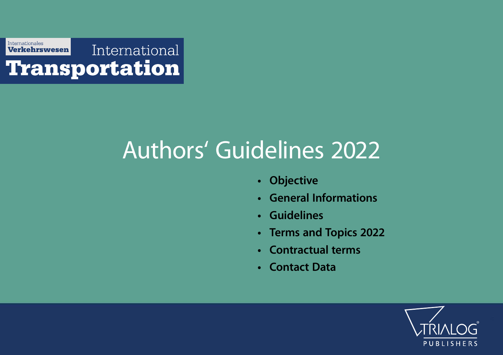

# Authors' Guidelines 2022

- Objective
- General Informations
- Guidelines
- Terms and Topics 2022
- Contractual terms
- Contact Data

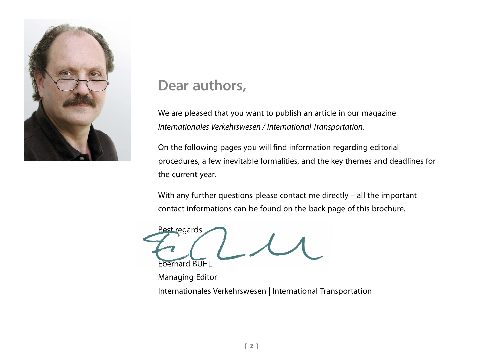

## Dear authors,

We are pleased that you want to publish an article in our magazine Internationales Verkehrswesen / International Transportation.

On the following pages you will find information regarding editorial procedures, a few inevitable formalities, and the key themes and deadlines for the current year.

With any further questions please contact me directly – all the important contact informations can be found on the back page of this brochure.

Best regards Eberhard BUHL

Managing Editor Internationales Verkehrswesen | International Transportation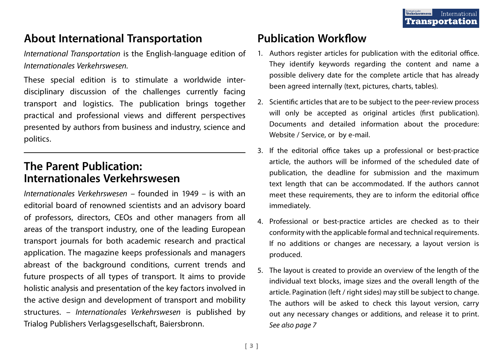## About International Transportation

International Transportation is the English-language edition of Internationales Verkehrswesen.

These special edition is to stimulate a worldwide interdisciplinary discussion of the challenges currently facing transport and logistics. The publication brings together practical and professional views and different perspectives presented by authors from business and industry, science and politics.

### The Parent Publication: Internationales Verkehrswesen

Internationales Verkehrswesen – founded in 1949 – is with an editorial board of renowned scientists and an advisory board of professors, directors, CEOs and other managers from all areas of the transport industry, one of the leading European transport journals for both academic research and practical application. The magazine keeps professionals and managers abreast of the background conditions, current trends and future prospects of all types of transport. It aims to provide holistic analysis and presentation of the key factors involved in the active design and development of transport and mobility structures. – Internationales Verkehrswesen is published by Trialog Publishers Verlagsgesellschaft, Baiersbronn.

## Publication Workflow

- 1. Authors register articles for publication with the editorial office. They identify keywords regarding the content and name a possible delivery date for the complete article that has already been agreed internally (text, pictures, charts, tables).
- 2. Scientific articles that are to be subject to the peer-review process will only be accepted as original articles (first publication). Documents and detailed information about the procedure: Website / Service, or by e-mail.
- 3. If the editorial office takes up a professional or best-practice article, the authors will be informed of the scheduled date of publication, the deadline for submission and the maximum text length that can be accommodated. If the authors cannot meet these requirements, they are to inform the editorial office immediately.
- 4. Professional or best-practice articles are checked as to their conformity with the applicable formal and technical requirements. If no additions or changes are necessary, a layout version is produced.
- 5. The layout is created to provide an overview of the length of the individual text blocks, image sizes and the overall length of the article. Pagination (left / right sides) may still be subject to change. The authors will be asked to check this layout version, carry out any necessary changes or additions, and release it to print. See also page 7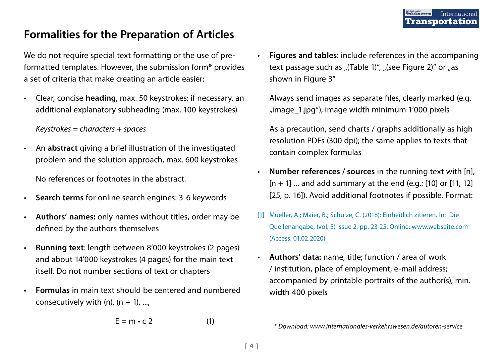## Formalities for the Preparation of Articles

We do not require special text formatting or the use of preformatted templates. However, the submission form\* provides a set of criteria that make creating an article easier:

• Clear, concise heading, max. 50 keystrokes; if necessary, an additional explanatory subheading (max. 100 keystrokes)

 $Keywords = characters + spaces$ 

- An abstract giving a brief illustration of the investigated problem and the solution approach, max. 600 keystrokes No references or footnotes in the abstract.
- Search terms for online search engines: 3-6 keywords
- Authors' names: only names without titles, order may be defined by the authors themselves
- Running text: length between 8'000 keystrokes (2 pages) and about 14'000 keystrokes (4 pages) for the main text itself. Do not number sections of text or chapters
- Formulas in main text should be centered and numbered consecutively with (n),  $(n + 1)$ , ...,

$$
E = m \cdot c \cdot 2 \tag{1}
$$

• Figures and tables: include references in the accompaning text passage such as "(Table 1)", "(see Figure 2)" or "as shown in Figure 3"

Always send images as separate files, clearly marked (e.g.  $\mu$ image 1.jpg"); image width minimum 1'000 pixels

 As a precaution, send charts / graphs additionally as high resolution PDFs (300 dpi); the same applies to texts that contain complex formulas

- Number references / sources in the running text with [n],  $[n + 1]$  ... and add summary at the end (e.g.: [10] or [11, 12] [25, p. 16]). Avoid additional footnotes if possible. Format:
- [1] Mueller, A.; Maier, B.; Schulze, C. (2018): Einheitlich zitieren. In: Die Quellenangabe, (vol. 5) issue 2, pp. 23-25. Online: www.webseite.com (Access: 01.02.2020)
- Authors' data: name, title; function / area of work / institution, place of employment, e-mail address; accompanied by printable portraits of the author(s), min. width 400 pixels

\* Download: www.internationales-verkehrswesen.de/autoren-service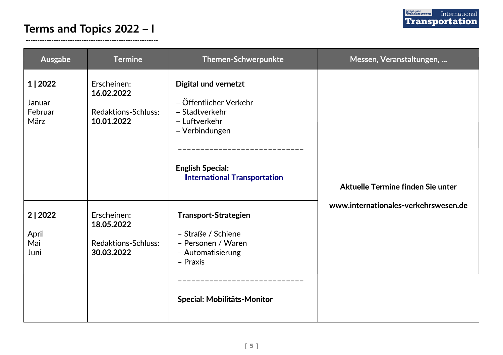#### Terms and Topics 2022 - I

| Ausgabe                               | <b>Termine</b>                                                        | Themen-Schwerpunkte                                                                                                                                                   | Messen, Veranstaltungen,                                                  |
|---------------------------------------|-----------------------------------------------------------------------|-----------------------------------------------------------------------------------------------------------------------------------------------------------------------|---------------------------------------------------------------------------|
| 1   2022<br>Januar<br>Februar<br>März | Erscheinen:<br>16.02.2022<br><b>Redaktions Schluss:</b><br>10.01.2022 | Digital und vernetzt<br>– Öffentlicher Verkehr<br>- Stadtverkehr<br>- Luftverkehr<br>- Verbindungen<br><b>English Special:</b><br><b>International Transportation</b> | Aktuelle Termine finden Sie unter<br>www.internationales-verkehrswesen.de |
| 2 2022<br>April<br>Mai<br>Juni        | Erscheinen:<br>18.05.2022<br><b>Redaktions-Schluss:</b><br>30.03.2022 | <b>Transport-Strategien</b><br>- Straße / Schiene<br>- Personen / Waren<br>- Automatisierung<br>- Praxis<br>Special: Mobilitäts-Monitor                               |                                                                           |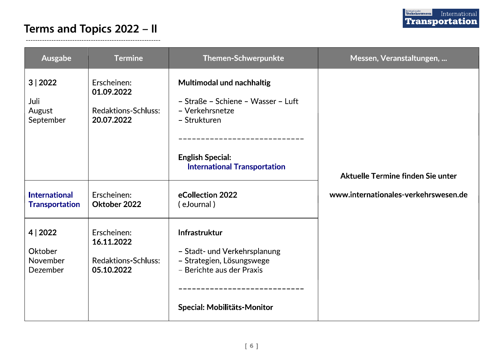## **Executions of Transportational**

#### Terms and Topics 2022 - II

| Ausgabe                                       | <b>Termine</b>                                                        | Themen-Schwerpunkte                                                                                                                                                  | Messen, Veranstaltungen,                                                  |
|-----------------------------------------------|-----------------------------------------------------------------------|----------------------------------------------------------------------------------------------------------------------------------------------------------------------|---------------------------------------------------------------------------|
| 3 2022<br>Juli<br>August<br>September         | Erscheinen:<br>01.09.2022<br><b>Redaktions Schluss:</b><br>20.07.2022 | Multimodal und nachhaltig<br>- Straße - Schiene - Wasser - Luft<br>- Verkehrsnetze<br>- Strukturen<br><b>English Special:</b><br><b>International Transportation</b> | Aktuelle Termine finden Sie unter<br>www.internationales-verkehrswesen.de |
| <b>International</b><br><b>Transportation</b> | Erscheinen:<br>Oktober 2022                                           | eCollection 2022<br>(eJournal)                                                                                                                                       |                                                                           |
| 4 2022<br>Oktober<br>November<br>Dezember     | Erscheinen:<br>16.11.2022<br>Redaktions Schluss:<br>05.10.2022        | Infrastruktur<br>- Stadt- und Verkehrsplanung<br>- Strategien, Lösungswege<br>- Berichte aus der Praxis<br>------------------<br>Special: Mobilitäts-Monitor         |                                                                           |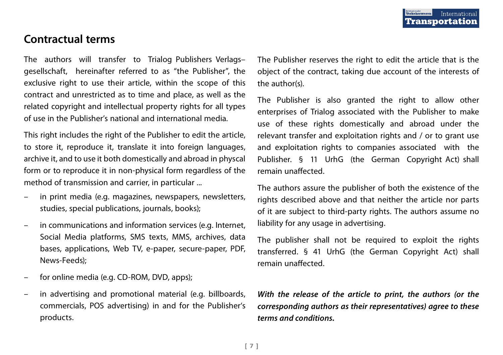## Contractual terms

The authors will transfer to Trialog Publishers Verlags– gesellschaft, hereinafter referred to as "the Publisher", the exclusive right to use their article, within the scope of this contract and unrestricted as to time and place, as well as the related copyright and intellectual property rights for all types of use in the Publisher's national and international media.

This right includes the right of the Publisher to edit the article, to store it, reproduce it, translate it into foreign languages, archive it, and to use it both domestically and abroad in physcal form or to reproduce it in non-physical form regardless of the method of transmission and carrier, in particular ...

- in print media (e.g. magazines, newspapers, newsletters, studies, special publications, journals, books);
- in communications and information services (e.g. Internet, Social Media platforms, SMS texts, MMS, archives, data bases, applications, Web TV, e-paper, secure-paper, PDF, News-Feeds);
- for online media (e.g. CD-ROM, DVD, apps);
- in advertising and promotional material (e.g. billboards, commercials, POS advertising) in and for the Publisher's products.

The Publisher reserves the right to edit the article that is the object of the contract, taking due account of the interests of the author(s).

The Publisher is also granted the right to allow other enterprises of Trialog associated with the Publisher to make use of these rights domestically and abroad under the relevant transfer and exploitation rights and / or to grant use and exploitation rights to companies associated with the Publisher. § 11 UrhG (the German Copyright Act) shall remain unaffected.

The authors assure the publisher of both the existence of the rights described above and that neither the article nor parts of it are subject to third-party rights. The authors assume no liability for any usage in advertising.

The publisher shall not be required to exploit the rights transferred. § 41 UrhG (the German Copyright Act) shall remain unaffected.

With the release of the article to print, the authors (or the corresponding authors as their representatives) agree to these terms and conditions.